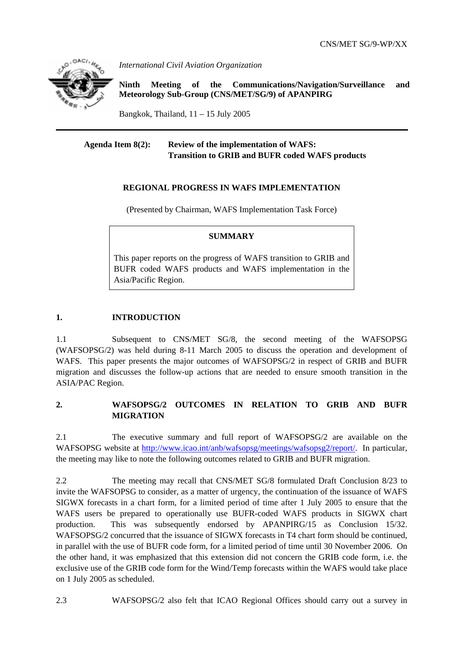

*International Civil Aviation Organization* 

**Ninth Meeting of the Communications/Navigation/Surveillance and Meteorology Sub-Group (CNS/MET/SG/9) of APANPIRG**

Bangkok, Thailand,  $11 - 15$  July 2005

## **Agenda Item 8(2): Review of the implementation of WAFS: Transition to GRIB and BUFR coded WAFS products**

## **REGIONAL PROGRESS IN WAFS IMPLEMENTATION**

(Presented by Chairman, WAFS Implementation Task Force)

## **SUMMARY**

This paper reports on the progress of WAFS transition to GRIB and BUFR coded WAFS products and WAFS implementation in the Asia/Pacific Region.

## **1. INTRODUCTION**

1.1 Subsequent to CNS/MET SG/8, the second meeting of the WAFSOPSG (WAFSOPSG/2) was held during 8-11 March 2005 to discuss the operation and development of WAFS. This paper presents the major outcomes of WAFSOPSG/2 in respect of GRIB and BUFR migration and discusses the follow-up actions that are needed to ensure smooth transition in the ASIA/PAC Region.

## **2. WAFSOPSG/2 OUTCOMES IN RELATION TO GRIB AND BUFR MIGRATION**

2.1 The executive summary and full report of WAFSOPSG/2 are available on the WAFSOPSG website at http://www.icao.int/anb/wafsopsg/meetings/wafsopsg2/report/. In particular, the meeting may like to note the following outcomes related to GRIB and BUFR migration.

2.2 The meeting may recall that CNS/MET SG/8 formulated Draft Conclusion 8/23 to invite the WAFSOPSG to consider, as a matter of urgency, the continuation of the issuance of WAFS SIGWX forecasts in a chart form, for a limited period of time after 1 July 2005 to ensure that the WAFS users be prepared to operationally use BUFR-coded WAFS products in SIGWX chart production. This was subsequently endorsed by APANPIRG/15 as Conclusion 15/32. WAFSOPSG/2 concurred that the issuance of SIGWX forecasts in T4 chart form should be continued, in parallel with the use of BUFR code form, for a limited period of time until 30 November 2006. On the other hand, it was emphasized that this extension did not concern the GRIB code form, i.e. the exclusive use of the GRIB code form for the Wind/Temp forecasts within the WAFS would take place on 1 July 2005 as scheduled.

2.3 WAFSOPSG/2 also felt that ICAO Regional Offices should carry out a survey in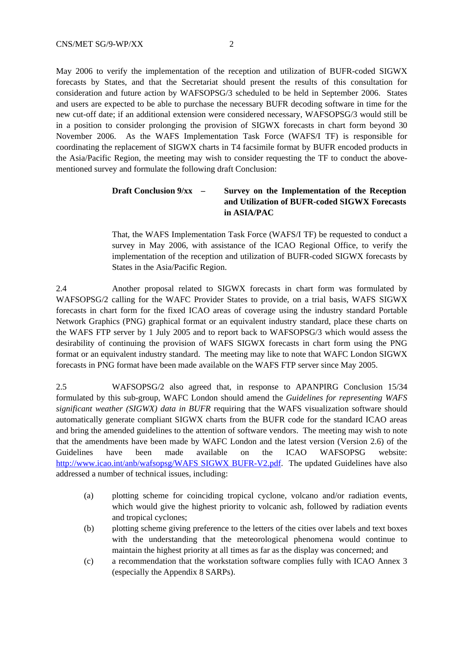May 2006 to verify the implementation of the reception and utilization of BUFR-coded SIGWX forecasts by States, and that the Secretariat should present the results of this consultation for consideration and future action by WAFSOPSG/3 scheduled to be held in September 2006. States and users are expected to be able to purchase the necessary BUFR decoding software in time for the new cut-off date; if an additional extension were considered necessary, WAFSOPSG/3 would still be in a position to consider prolonging the provision of SIGWX forecasts in chart form beyond 30 November 2006. As the WAFS Implementation Task Force (WAFS/I TF) is responsible for coordinating the replacement of SIGWX charts in T4 facsimile format by BUFR encoded products in the Asia/Pacific Region, the meeting may wish to consider requesting the TF to conduct the abovementioned survey and formulate the following draft Conclusion:

## **Draft Conclusion 9/xx – Survey on the Implementation of the Reception and Utilization of BUFR-coded SIGWX Forecasts in ASIA/PAC**

That, the WAFS Implementation Task Force (WAFS/I TF) be requested to conduct a survey in May 2006, with assistance of the ICAO Regional Office, to verify the implementation of the reception and utilization of BUFR-coded SIGWX forecasts by States in the Asia/Pacific Region.

2.4 Another proposal related to SIGWX forecasts in chart form was formulated by WAFSOPSG/2 calling for the WAFC Provider States to provide, on a trial basis, WAFS SIGWX forecasts in chart form for the fixed ICAO areas of coverage using the industry standard Portable Network Graphics (PNG) graphical format or an equivalent industry standard, place these charts on the WAFS FTP server by 1 July 2005 and to report back to WAFSOPSG/3 which would assess the desirability of continuing the provision of WAFS SIGWX forecasts in chart form using the PNG format or an equivalent industry standard. The meeting may like to note that WAFC London SIGWX forecasts in PNG format have been made available on the WAFS FTP server since May 2005.

2.5 WAFSOPSG/2 also agreed that, in response to APANPIRG Conclusion 15/34 formulated by this sub-group, WAFC London should amend the *Guidelines for representing WAFS significant weather (SIGWX) data in BUFR* requiring that the WAFS visualization software should automatically generate compliant SIGWX charts from the BUFR code for the standard ICAO areas and bring the amended guidelines to the attention of software vendors. The meeting may wish to note that the amendments have been made by WAFC London and the latest version (Version 2.6) of the Guidelines have been made available on the ICAO WAFSOPSG website: http://www.icao.int/anb/wafsopsg/WAFS SIGWX BUFR-V2.pdf. The updated Guidelines have also addressed a number of technical issues, including:

- (a) plotting scheme for coinciding tropical cyclone, volcano and/or radiation events, which would give the highest priority to volcanic ash, followed by radiation events and tropical cyclones;
- (b) plotting scheme giving preference to the letters of the cities over labels and text boxes with the understanding that the meteorological phenomena would continue to maintain the highest priority at all times as far as the display was concerned; and
- (c) a recommendation that the workstation software complies fully with ICAO Annex 3 (especially the Appendix 8 SARPs).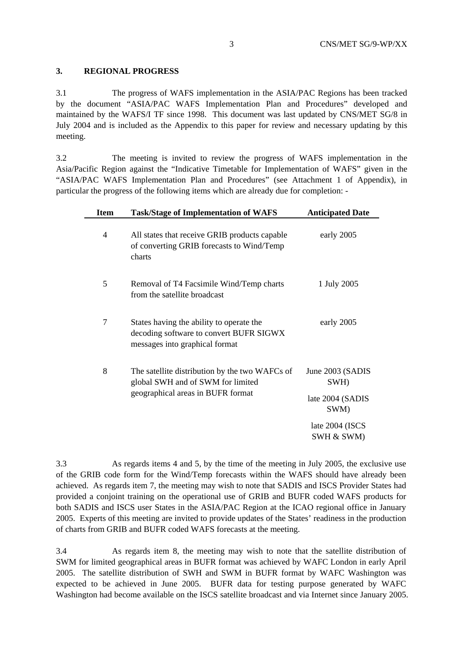### **3. REGIONAL PROGRESS**

3.1 The progress of WAFS implementation in the ASIA/PAC Regions has been tracked by the document "ASIA/PAC WAFS Implementation Plan and Procedures" developed and maintained by the WAFS/I TF since 1998. This document was last updated by CNS/MET SG/8 in July 2004 and is included as the Appendix to this paper for review and necessary updating by this meeting.

3.2 The meeting is invited to review the progress of WAFS implementation in the Asia/Pacific Region against the "Indicative Timetable for Implementation of WAFS" given in the "ASIA/PAC WAFS Implementation Plan and Procedures" (see Attachment 1 of Appendix), in particular the progress of the following items which are already due for completion: -

| <b>Item</b>    | <b>Task/Stage of Implementation of WAFS</b>                                                                              | <b>Anticipated Date</b>                      |
|----------------|--------------------------------------------------------------------------------------------------------------------------|----------------------------------------------|
| $\overline{4}$ | All states that receive GRIB products capable<br>of converting GRIB forecasts to Wind/Temp<br>charts                     | early 2005                                   |
| 5              | Removal of T4 Facsimile Wind/Temp charts<br>from the satellite broadcast                                                 | 1 July 2005                                  |
| 7              | States having the ability to operate the<br>decoding software to convert BUFR SIGWX<br>messages into graphical format    | early 2005                                   |
| 8              | The satellite distribution by the two WAFCs of<br>global SWH and of SWM for limited<br>geographical areas in BUFR format | June 2003 (SADIS<br>SWH)<br>late 2004 (SADIS |
|                |                                                                                                                          | SWM)<br>late 2004 (ISCS<br>SWH & SWM)        |

3.3 As regards items 4 and 5, by the time of the meeting in July 2005, the exclusive use of the GRIB code form for the Wind/Temp forecasts within the WAFS should have already been achieved. As regards item 7, the meeting may wish to note that SADIS and ISCS Provider States had provided a conjoint training on the operational use of GRIB and BUFR coded WAFS products for both SADIS and ISCS user States in the ASIA/PAC Region at the ICAO regional office in January 2005. Experts of this meeting are invited to provide updates of the States' readiness in the production of charts from GRIB and BUFR coded WAFS forecasts at the meeting.

3.4 As regards item 8, the meeting may wish to note that the satellite distribution of SWM for limited geographical areas in BUFR format was achieved by WAFC London in early April 2005. The satellite distribution of SWH and SWM in BUFR format by WAFC Washington was expected to be achieved in June 2005. BUFR data for testing purpose generated by WAFC Washington had become available on the ISCS satellite broadcast and via Internet since January 2005.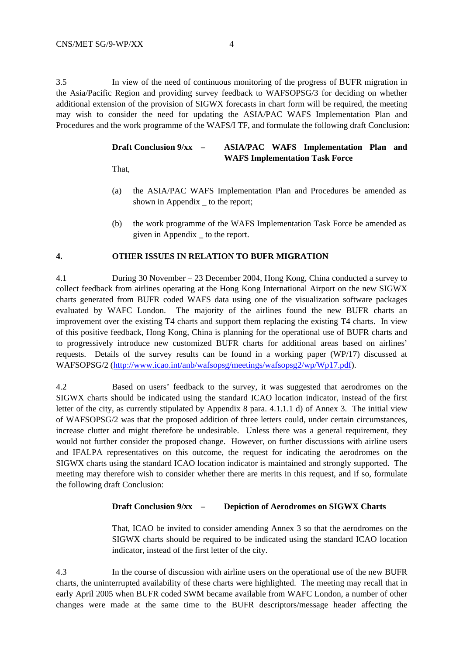3.5 In view of the need of continuous monitoring of the progress of BUFR migration in the Asia/Pacific Region and providing survey feedback to WAFSOPSG/3 for deciding on whether additional extension of the provision of SIGWX forecasts in chart form will be required, the meeting may wish to consider the need for updating the ASIA/PAC WAFS Implementation Plan and Procedures and the work programme of the WAFS/I TF, and formulate the following draft Conclusion:

## **Draft Conclusion 9/xx – ASIA/PAC WAFS Implementation Plan and WAFS Implementation Task Force**

That,

- (a) the ASIA/PAC WAFS Implementation Plan and Procedures be amended as shown in Appendix to the report;
- (b) the work programme of the WAFS Implementation Task Force be amended as given in Appendix \_ to the report.

## **4. OTHER ISSUES IN RELATION TO BUFR MIGRATION**

4.1 During 30 November – 23 December 2004, Hong Kong, China conducted a survey to collect feedback from airlines operating at the Hong Kong International Airport on the new SIGWX charts generated from BUFR coded WAFS data using one of the visualization software packages evaluated by WAFC London. The majority of the airlines found the new BUFR charts an improvement over the existing T4 charts and support them replacing the existing T4 charts. In view of this positive feedback, Hong Kong, China is planning for the operational use of BUFR charts and to progressively introduce new customized BUFR charts for additional areas based on airlines' requests. Details of the survey results can be found in a working paper (WP/17) discussed at WAFSOPSG/2 (http://www.icao.int/anb/wafsopsg/meetings/wafsopsg2/wp/Wp17.pdf).

4.2 Based on users' feedback to the survey, it was suggested that aerodromes on the SIGWX charts should be indicated using the standard ICAO location indicator, instead of the first letter of the city, as currently stipulated by Appendix 8 para. 4.1.1.1 d) of Annex 3. The initial view of WAFSOPSG/2 was that the proposed addition of three letters could, under certain circumstances, increase clutter and might therefore be undesirable. Unless there was a general requirement, they would not further consider the proposed change. However, on further discussions with airline users and IFALPA representatives on this outcome, the request for indicating the aerodromes on the SIGWX charts using the standard ICAO location indicator is maintained and strongly supported. The meeting may therefore wish to consider whether there are merits in this request, and if so, formulate the following draft Conclusion:

#### **Draft Conclusion 9/xx – Depiction of Aerodromes on SIGWX Charts**

That, ICAO be invited to consider amending Annex 3 so that the aerodromes on the SIGWX charts should be required to be indicated using the standard ICAO location indicator, instead of the first letter of the city.

4.3 In the course of discussion with airline users on the operational use of the new BUFR charts, the uninterrupted availability of these charts were highlighted. The meeting may recall that in early April 2005 when BUFR coded SWM became available from WAFC London, a number of other changes were made at the same time to the BUFR descriptors/message header affecting the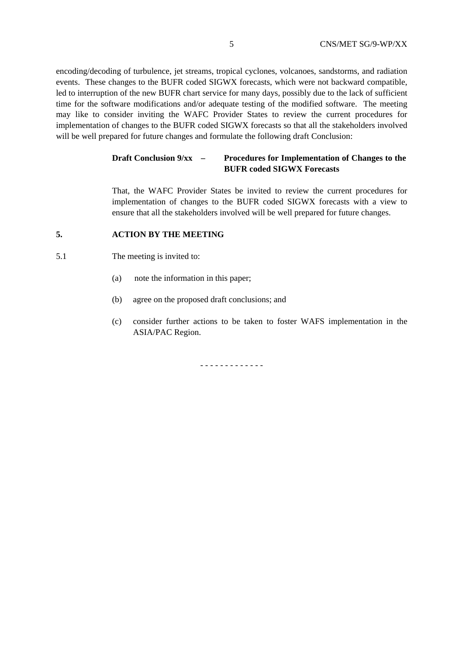encoding/decoding of turbulence, jet streams, tropical cyclones, volcanoes, sandstorms, and radiation events. These changes to the BUFR coded SIGWX forecasts, which were not backward compatible, led to interruption of the new BUFR chart service for many days, possibly due to the lack of sufficient time for the software modifications and/or adequate testing of the modified software. The meeting may like to consider inviting the WAFC Provider States to review the current procedures for implementation of changes to the BUFR coded SIGWX forecasts so that all the stakeholders involved will be well prepared for future changes and formulate the following draft Conclusion:

## **Draft Conclusion 9/xx – Procedures for Implementation of Changes to the BUFR coded SIGWX Forecasts**

That, the WAFC Provider States be invited to review the current procedures for implementation of changes to the BUFR coded SIGWX forecasts with a view to ensure that all the stakeholders involved will be well prepared for future changes.

#### **5. ACTION BY THE MEETING**

- 5.1 The meeting is invited to:
	- (a) note the information in this paper;
	- (b) agree on the proposed draft conclusions; and
	- (c) consider further actions to be taken to foster WAFS implementation in the ASIA/PAC Region.

- - - - - - - - - - - - -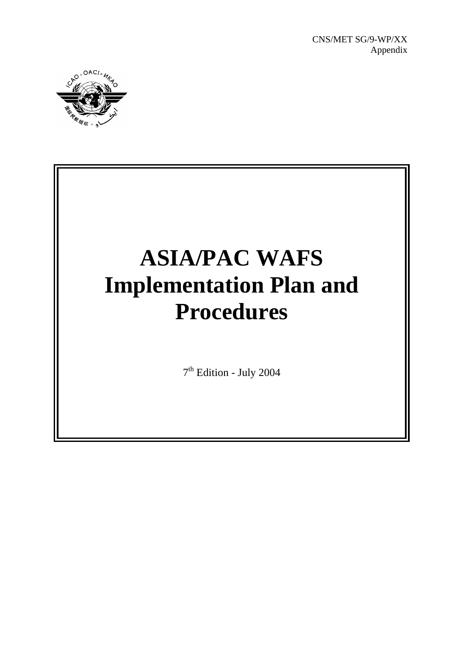

# **ASIA/PAC WAFS Implementation Plan and Procedures**

7th Edition - July 2004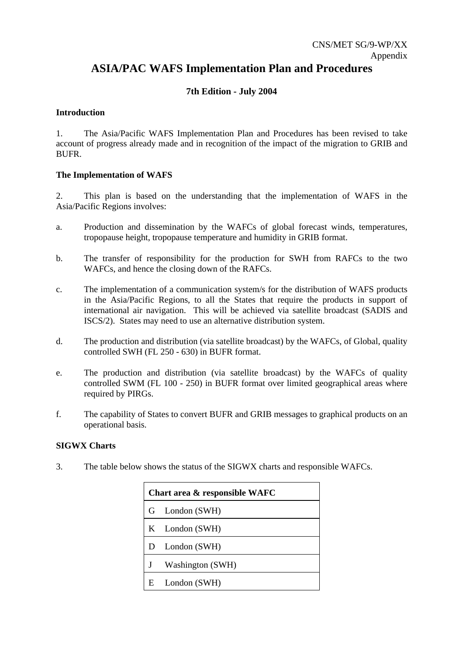## **ASIA/PAC WAFS Implementation Plan and Procedures**

## **7th Edition - July 2004**

## **Introduction**

1. The Asia/Pacific WAFS Implementation Plan and Procedures has been revised to take account of progress already made and in recognition of the impact of the migration to GRIB and BUFR.

## **The Implementation of WAFS**

2. This plan is based on the understanding that the implementation of WAFS in the Asia/Pacific Regions involves:

- a. Production and dissemination by the WAFCs of global forecast winds, temperatures, tropopause height, tropopause temperature and humidity in GRIB format.
- b. The transfer of responsibility for the production for SWH from RAFCs to the two WAFCs, and hence the closing down of the RAFCs.
- c. The implementation of a communication system/s for the distribution of WAFS products in the Asia/Pacific Regions, to all the States that require the products in support of international air navigation. This will be achieved via satellite broadcast (SADIS and ISCS/2). States may need to use an alternative distribution system.
- d. The production and distribution (via satellite broadcast) by the WAFCs, of Global, quality controlled SWH (FL 250 - 630) in BUFR format.
- e. The production and distribution (via satellite broadcast) by the WAFCs of quality controlled SWM (FL 100 - 250) in BUFR format over limited geographical areas where required by PIRGs.
- f. The capability of States to convert BUFR and GRIB messages to graphical products on an operational basis.

#### **SIGWX Charts**

3. The table below shows the status of the SIGWX charts and responsible WAFCs.

| Chart area & responsible WAFC |                  |  |
|-------------------------------|------------------|--|
| G                             | London (SWH)     |  |
|                               | K London (SWH)   |  |
| D                             | London (SWH)     |  |
| J                             | Washington (SWH) |  |
| E                             | London (SWH)     |  |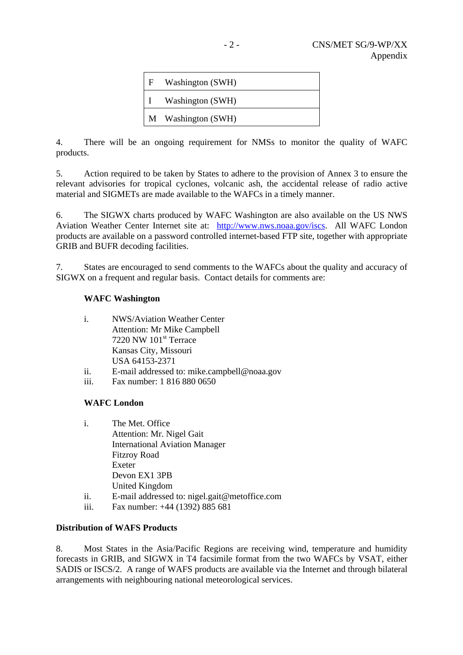| F | Washington (SWH)   |
|---|--------------------|
|   | Washington (SWH)   |
|   | M Washington (SWH) |

4. There will be an ongoing requirement for NMSs to monitor the quality of WAFC products.

5. Action required to be taken by States to adhere to the provision of Annex 3 to ensure the relevant advisories for tropical cyclones, volcanic ash, the accidental release of radio active material and SIGMETs are made available to the WAFCs in a timely manner.

6. The SIGWX charts produced by WAFC Washington are also available on the US NWS Aviation Weather Center Internet site at: http://www.nws.noaa.gov/iscs. All WAFC London products are available on a password controlled internet-based FTP site, together with appropriate GRIB and BUFR decoding facilities.

7. States are encouraged to send comments to the WAFCs about the quality and accuracy of SIGWX on a frequent and regular basis. Contact details for comments are:

## **WAFC Washington**

| i. | <b>NWS/Aviation Weather Center</b> |  |  |
|----|------------------------------------|--|--|
|    | <b>Attention: Mr Mike Campbell</b> |  |  |
|    | 7220 NW 101 <sup>st</sup> Terrace  |  |  |
|    | Kansas City, Missouri              |  |  |
|    | USA 64153-2371                     |  |  |
|    |                                    |  |  |

- ii. E-mail addressed to: mike.campbell@noaa.gov
- iii. Fax number: 1 816 880 0650

## **WAFC London**

| i. | The Met. Office                       |
|----|---------------------------------------|
|    | Attention: Mr. Nigel Gait             |
|    | <b>International Aviation Manager</b> |
|    | <b>Fitzroy Road</b>                   |
|    | Exeter                                |
|    | Devon EX1 3PB                         |
|    | United Kingdom                        |
|    |                                       |

- ii. E-mail addressed to: nigel.gait@metoffice.com
- iii. Fax number: +44 (1392) 885 681

## **Distribution of WAFS Products**

8. Most States in the Asia/Pacific Regions are receiving wind, temperature and humidity forecasts in GRIB, and SIGWX in T4 facsimile format from the two WAFCs by VSAT, either SADIS or ISCS/2. A range of WAFS products are available via the Internet and through bilateral arrangements with neighbouring national meteorological services.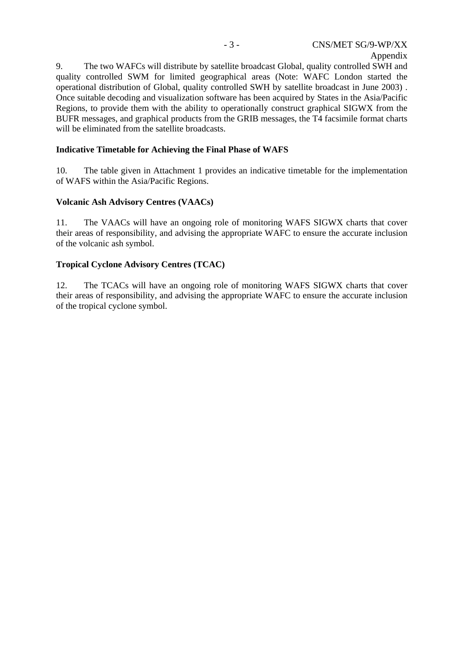9. The two WAFCs will distribute by satellite broadcast Global, quality controlled SWH and quality controlled SWM for limited geographical areas (Note: WAFC London started the operational distribution of Global, quality controlled SWH by satellite broadcast in June 2003) . Once suitable decoding and visualization software has been acquired by States in the Asia/Pacific Regions, to provide them with the ability to operationally construct graphical SIGWX from the BUFR messages, and graphical products from the GRIB messages, the T4 facsimile format charts will be eliminated from the satellite broadcasts.

## **Indicative Timetable for Achieving the Final Phase of WAFS**

10. The table given in Attachment 1 provides an indicative timetable for the implementation of WAFS within the Asia/Pacific Regions.

## **Volcanic Ash Advisory Centres (VAACs)**

11. The VAACs will have an ongoing role of monitoring WAFS SIGWX charts that cover their areas of responsibility, and advising the appropriate WAFC to ensure the accurate inclusion of the volcanic ash symbol.

## **Tropical Cyclone Advisory Centres (TCAC)**

12. The TCACs will have an ongoing role of monitoring WAFS SIGWX charts that cover their areas of responsibility, and advising the appropriate WAFC to ensure the accurate inclusion of the tropical cyclone symbol.